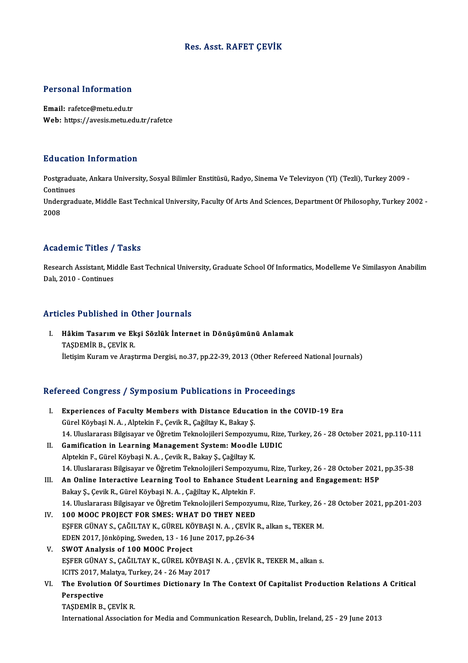### Res. Asst. RAFET ÇEVİK

### Personal Information

Email: rafetce@metu.edu.tr Web: https://avesis.metu.edu.tr/rafetce

### Education Information

**Education Information**<br>Postgraduate, Ankara University, Sosyal Bilimler Enstitüsü, Radyo, Sinema Ve Televizyon (Yl) (Tezli), Turkey 2009 -<br>Continues Postgradua<br>Continues<br>Undergrad Postgraduate, Ankara University, Sosyal Bilimler Enstitüsü, Radyo, Sinema Ve Televizyon (Yl) (Tezli), Turkey 2009 -<br>Continues<br>Undergraduate, Middle East Technical University, Faculty Of Arts And Sciences, Department Of Phi

Contir<br>Under<br>2008

## Academic Titles / Tasks

A**cademic Titles / Tasks**<br>Research Assistant, Middle East Technical University, Graduate School Of Informatics, Modelleme Ve Similasyon Anabilim Research Assistant, Michael<br>Dalı, 2010 - Continues

### Articles Published in Other Journals

rticles Published in Other Journals<br>I. Hâkim Tasarım ve Ekşi Sözlük İnternet in Dönüşümünü Anlamak<br>TASDEMİR R. CEVİK R TAŞDEMİRDA TARAKI<br>Hâkim Tasarım ve Ek<br>TAŞDEMİR B., ÇEVİK R. TAŞDEMİR B., ÇEVİK R.<br>İletişim Kuram ve Araştırma Dergisi, no.37, pp.22-39, 2013 (Other Refereed National Journals)

# neusim Kuram ve Araşurma Dergisi, no.57, pp.22-59, 2013 (Other Referee<br>Refereed Congress / Symposium Publications in Proceedings

| Refereed Congress / Symposium Publications in Proceedings |                                                                                                                 |
|-----------------------------------------------------------|-----------------------------------------------------------------------------------------------------------------|
| L.                                                        | Experiences of Faculty Members with Distance Education in the COVID-19 Era                                      |
|                                                           | Gürel Köybaşi N. A., Alptekin F., Çevik R., Çağiltay K., Bakay Ş.                                               |
|                                                           | 14. Uluslararası Bilgisayar ve Öğretim Teknolojileri Sempozyumu, Rize, Turkey, 26 - 28 October 2021, pp.110-111 |
| II.                                                       | Gamification in Learning Management System: Moodle LUDIC                                                        |
|                                                           | Alptekin F., Gürel Köybaşi N. A., Çevik R., Bakay Ş., Çağiltay K.                                               |
|                                                           | 14. Uluslararası Bilgisayar ve Öğretim Teknolojileri Sempozyumu, Rize, Turkey, 26 - 28 October 2021, pp.35-38   |
| III.                                                      | An Online Interactive Learning Tool to Enhance Student Learning and Engagement: H5P                             |
|                                                           | Bakay Ş., Çevik R., Gürel Köybaşi N. A., Çağiltay K., Alptekin F.                                               |
|                                                           | 14. Uluslararası Bilgisayar ve Öğretim Teknolojileri Sempozyumu, Rize, Turkey, 26 - 28 October 2021, pp.201-203 |
| IV.                                                       | 100 MOOC PROJECT FOR SMES: WHAT DO THEY NEED                                                                    |
|                                                           | EŞFER GÜNAY S., ÇAĞILTAY K., GÜREL KÖYBAŞI N. A., ÇEVİK R., alkan s., TEKER M.                                  |
|                                                           | EDEN 2017, Jönköping, Sweden, 13 - 16 June 2017, pp.26-34                                                       |
| V.                                                        | SWOT Analysis of 100 MOOC Project                                                                               |
|                                                           | EŞFER GÜNAY S., ÇAĞILTAY K., GÜREL KÖYBAŞI N. A., ÇEVİK R., TEKER M., alkan s.                                  |
|                                                           | ICITS 2017, Malatya, Turkey, 24 - 26 May 2017                                                                   |
| VI.                                                       | The Evolution Of Sourtimes Dictionary In The Context Of Capitalist Production Relations A Critical              |
|                                                           | Perspective                                                                                                     |
|                                                           | TAŞDEMİR B., ÇEVİK R.                                                                                           |

International Association for Media and Communication Research, Dublin, Ireland, 25 - 29 June 2013